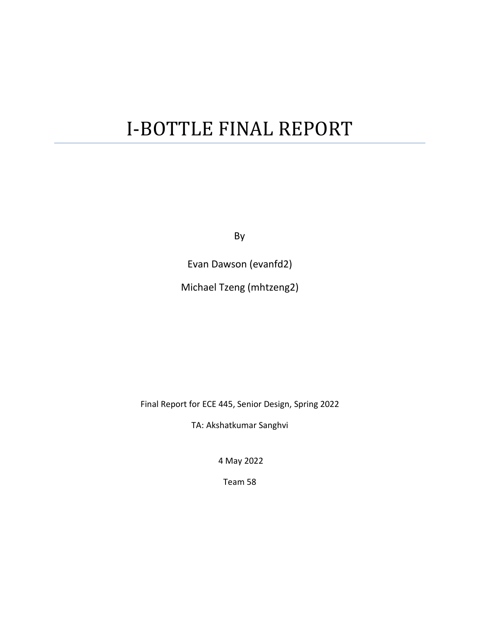# I-BOTTLE FINAL REPORT

By

Evan Dawson (evanfd2)

Michael Tzeng (mhtzeng2)

Final Report for ECE 445, Senior Design, Spring 2022

TA: Akshatkumar Sanghvi

4 May 2022

Team 58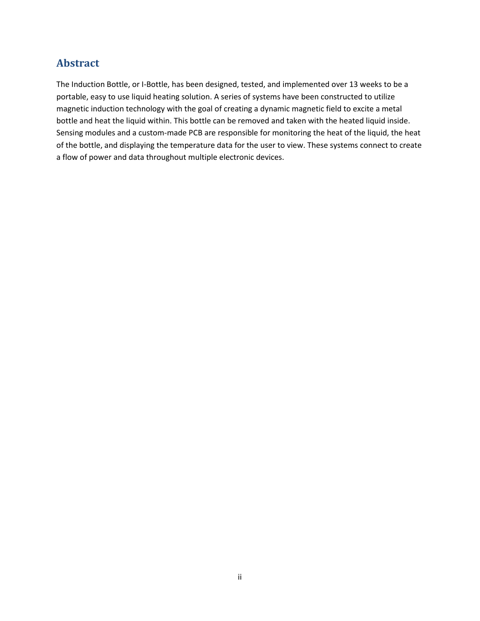## **Abstract**

The Induction Bottle, or I-Bottle, has been designed, tested, and implemented over 13 weeks to be a portable, easy to use liquid heating solution. A series of systems have been constructed to utilize magnetic induction technology with the goal of creating a dynamic magnetic field to excite a metal bottle and heat the liquid within. This bottle can be removed and taken with the heated liquid inside. Sensing modules and a custom-made PCB are responsible for monitoring the heat of the liquid, the heat of the bottle, and displaying the temperature data for the user to view. These systems connect to create a flow of power and data throughout multiple electronic devices.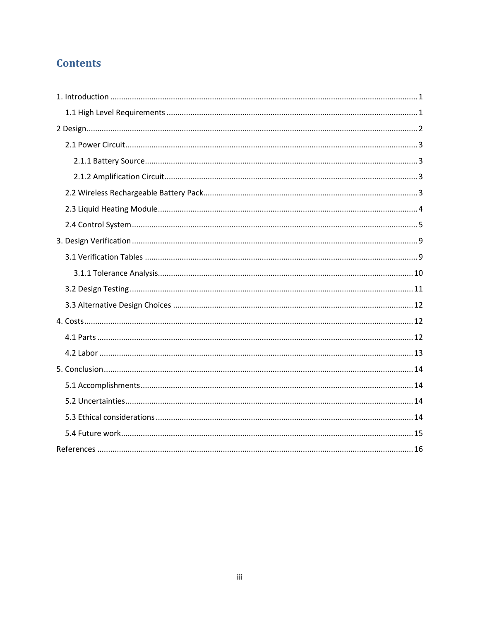# **Contents**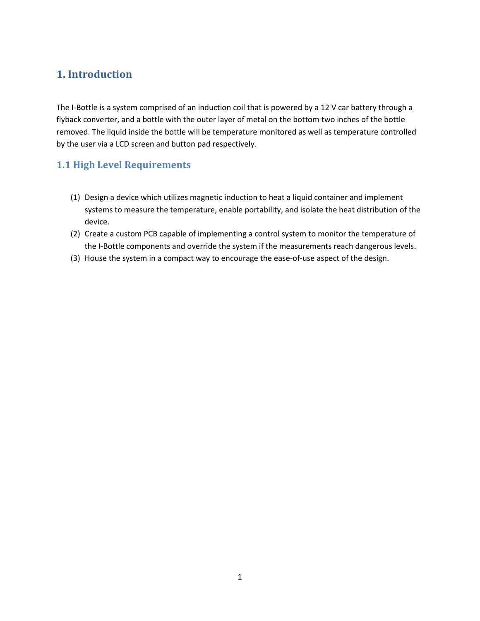## <span id="page-3-0"></span>**1. Introduction**

The I-Bottle is a system comprised of an induction coil that is powered by a 12 V car battery through a flyback converter, and a bottle with the outer layer of metal on the bottom two inches of the bottle removed. The liquid inside the bottle will be temperature monitored as well as temperature controlled by the user via a LCD screen and button pad respectively.

### <span id="page-3-1"></span>**1.1 High Level Requirements**

- (1) Design a device which utilizes magnetic induction to heat a liquid container and implement systems to measure the temperature, enable portability, and isolate the heat distribution of the device.
- (2) Create a custom PCB capable of implementing a control system to monitor the temperature of the I-Bottle components and override the system if the measurements reach dangerous levels.
- (3) House the system in a compact way to encourage the ease-of-use aspect of the design.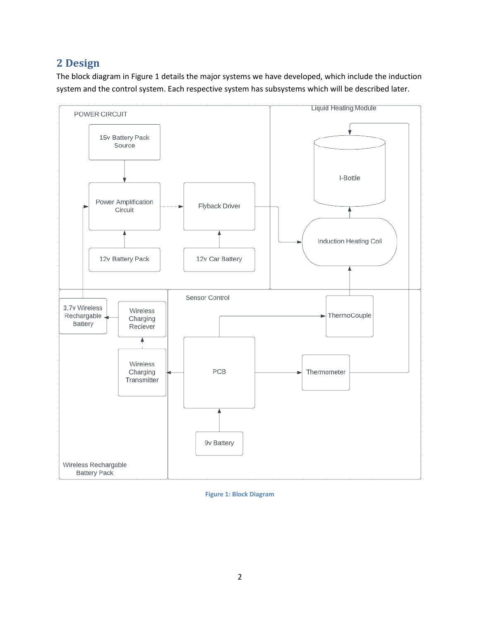## <span id="page-4-0"></span>**2 Design**

The block diagram in Figure 1 details the major systems we have developed, which include the induction system and the control system. Each respective system has subsystems which will be described later.



**Figure 1: Block Diagram**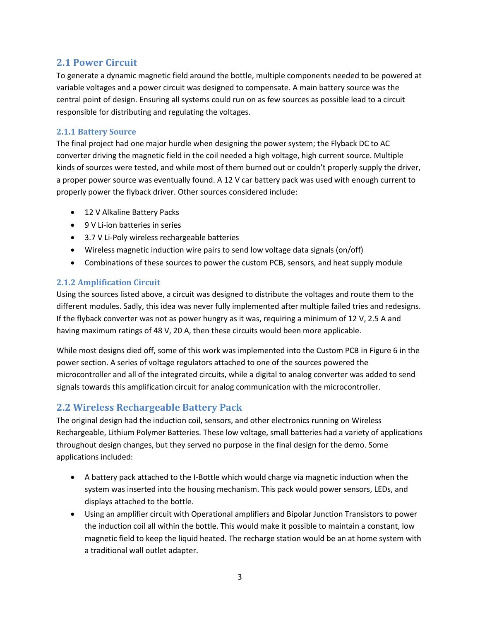#### <span id="page-5-0"></span>**2.1 Power Circuit**

To generate a dynamic magnetic field around the bottle, multiple components needed to be powered at variable voltages and a power circuit was designed to compensate. A main battery source was the central point of design. Ensuring all systems could run on as few sources as possible lead to a circuit responsible for distributing and regulating the voltages.

#### <span id="page-5-1"></span>**2.1.1 Battery Source**

The final project had one major hurdle when designing the power system; the Flyback DC to AC converter driving the magnetic field in the coil needed a high voltage, high current source. Multiple kinds of sources were tested, and while most of them burned out or couldn't properly supply the driver, a proper power source was eventually found. A 12 V car battery pack was used with enough current to properly power the flyback driver. Other sources considered include:

- 12 V Alkaline Battery Packs
- 9 V Li-ion batteries in series
- 3.7 V Li-Poly wireless rechargeable batteries
- Wireless magnetic induction wire pairs to send low voltage data signals (on/off)
- Combinations of these sources to power the custom PCB, sensors, and heat supply module

#### <span id="page-5-2"></span>**2.1.2 Amplification Circuit**

Using the sources listed above, a circuit was designed to distribute the voltages and route them to the different modules. Sadly, this idea was never fully implemented after multiple failed tries and redesigns. If the flyback converter was not as power hungry as it was, requiring a minimum of 12 V, 2.5 A and having maximum ratings of 48 V, 20 A, then these circuits would been more applicable.

While most designs died off, some of this work was implemented into the Custom PCB in Figure 6 in the power section. A series of voltage regulators attached to one of the sources powered the microcontroller and all of the integrated circuits, while a digital to analog converter was added to send signals towards this amplification circuit for analog communication with the microcontroller.

#### <span id="page-5-3"></span>**2.2 Wireless Rechargeable Battery Pack**

The original design had the induction coil, sensors, and other electronics running on Wireless Rechargeable, Lithium Polymer Batteries. These low voltage, small batteries had a variety of applications throughout design changes, but they served no purpose in the final design for the demo. Some applications included:

- A battery pack attached to the I-Bottle which would charge via magnetic induction when the system was inserted into the housing mechanism. This pack would power sensors, LEDs, and displays attached to the bottle.
- Using an amplifier circuit with Operational amplifiers and Bipolar Junction Transistors to power the induction coil all within the bottle. This would make it possible to maintain a constant, low magnetic field to keep the liquid heated. The recharge station would be an at home system with a traditional wall outlet adapter.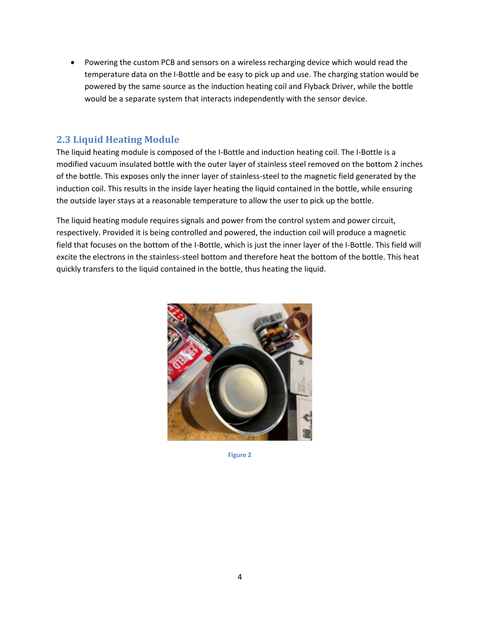• Powering the custom PCB and sensors on a wireless recharging device which would read the temperature data on the I-Bottle and be easy to pick up and use. The charging station would be powered by the same source as the induction heating coil and Flyback Driver, while the bottle would be a separate system that interacts independently with the sensor device.

#### <span id="page-6-0"></span>**2.3 Liquid Heating Module**

The liquid heating module is composed of the I-Bottle and induction heating coil. The I-Bottle is a modified vacuum insulated bottle with the outer layer of stainless steel removed on the bottom 2 inches of the bottle. This exposes only the inner layer of stainless-steel to the magnetic field generated by the induction coil. This results in the inside layer heating the liquid contained in the bottle, while ensuring the outside layer stays at a reasonable temperature to allow the user to pick up the bottle.

The liquid heating module requires signals and power from the control system and power circuit, respectively. Provided it is being controlled and powered, the induction coil will produce a magnetic field that focuses on the bottom of the I-Bottle, which is just the inner layer of the I-Bottle. This field will excite the electrons in the stainless-steel bottom and therefore heat the bottom of the bottle. This heat quickly transfers to the liquid contained in the bottle, thus heating the liquid.



**Figure 2**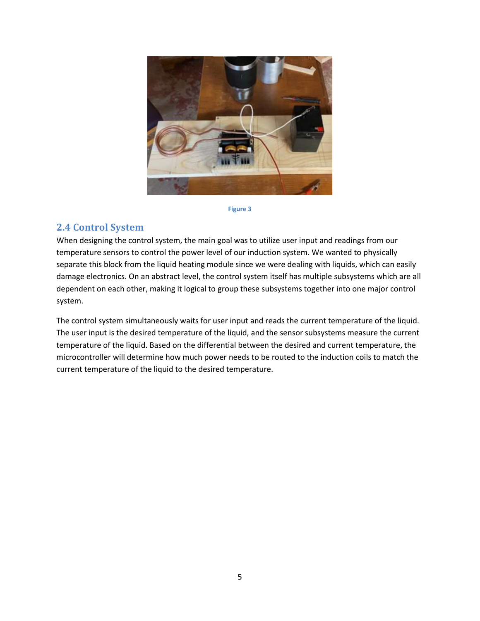

#### **Figure 3**

#### <span id="page-7-0"></span>**2.4 Control System**

When designing the control system, the main goal was to utilize user input and readings from our temperature sensors to control the power level of our induction system. We wanted to physically separate this block from the liquid heating module since we were dealing with liquids, which can easily damage electronics. On an abstract level, the control system itself has multiple subsystems which are all dependent on each other, making it logical to group these subsystems together into one major control system.

The control system simultaneously waits for user input and reads the current temperature of the liquid. The user input is the desired temperature of the liquid, and the sensor subsystems measure the current temperature of the liquid. Based on the differential between the desired and current temperature, the microcontroller will determine how much power needs to be routed to the induction coils to match the current temperature of the liquid to the desired temperature.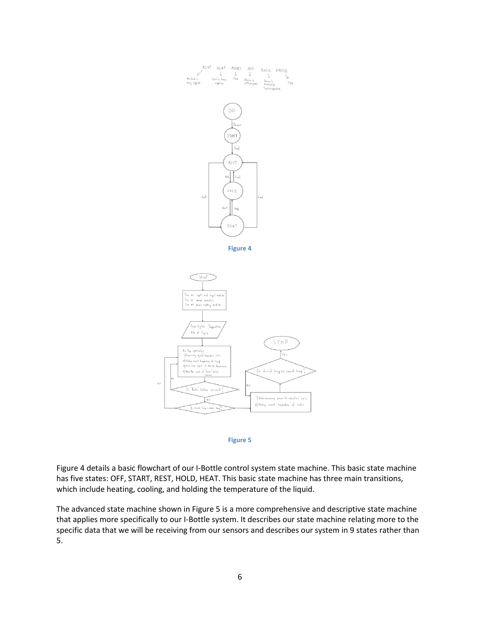



Figure 4 details a basic flowchart of our I-Bottle control system state machine. This basic state machine has five states: OFF, START, REST, HOLD, HEAT. This basic state machine has three main transitions, which include heating, cooling, and holding the temperature of the liquid.

The advanced state machine shown in Figure 5 is a more comprehensive and descriptive state machine that applies more specifically to our I-Bottle system. It describes our state machine relating more to the specific data that we will be receiving from our sensors and describes our system in 9 states rather than 5.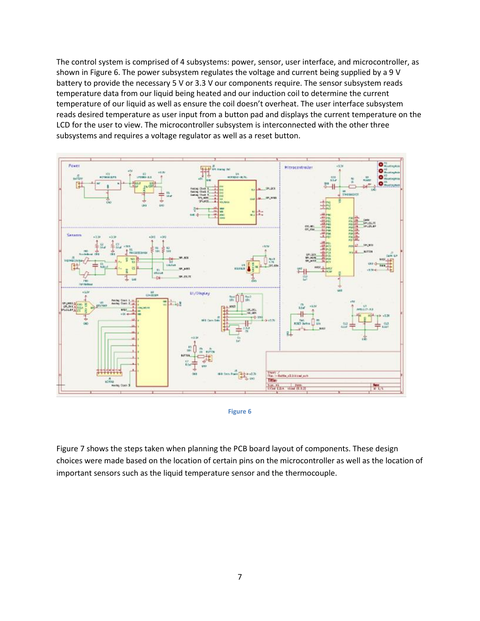The control system is comprised of 4 subsystems: power, sensor, user interface, and microcontroller, as shown in Figure 6. The power subsystem regulates the voltage and current being supplied by a 9 V battery to provide the necessary 5 V or 3.3 V our components require. The sensor subsystem reads temperature data from our liquid being heated and our induction coil to determine the current temperature of our liquid as well as ensure the coil doesn't overheat. The user interface subsystem reads desired temperature as user input from a button pad and displays the current temperature on the LCD for the user to view. The microcontroller subsystem is interconnected with the other three subsystems and requires a voltage regulator as well as a reset button.





Figure 7 shows the steps taken when planning the PCB board layout of components. These design choices were made based on the location of certain pins on the microcontroller as well as the location of important sensors such as the liquid temperature sensor and the thermocouple.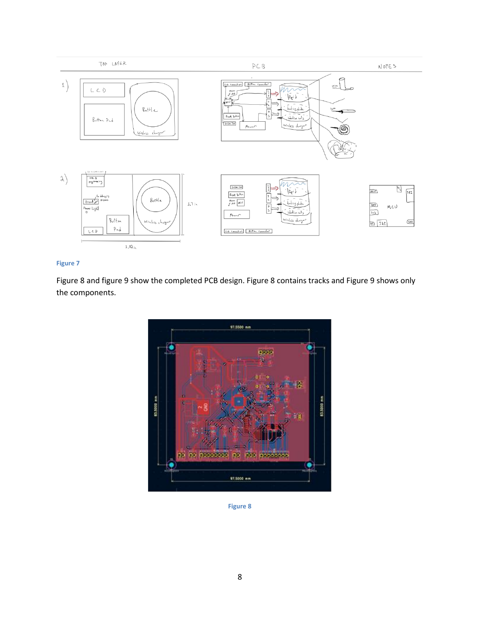

#### **Figure 7**

Figure 8 and figure 9 show the completed PCB design. Figure 8 contains tracks and Figure 9 shows only the components.



**Figure 8**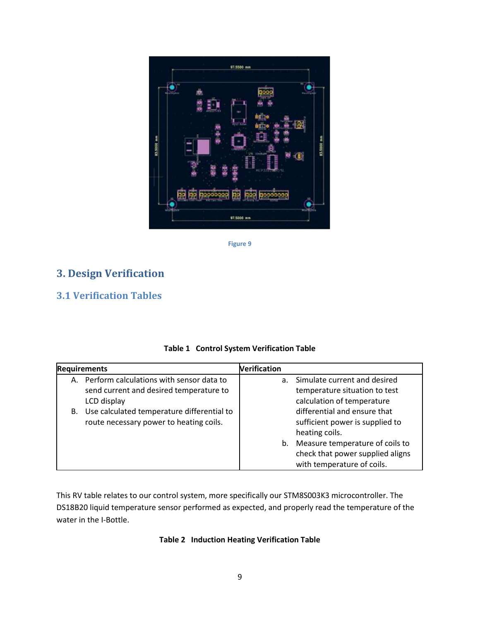

**Figure 9**

## <span id="page-11-0"></span>**3. Design Verification**

## <span id="page-11-1"></span>**3.1 Verification Tables**

|  | <b>Table 1 Control System Verification Table</b> |  |  |
|--|--------------------------------------------------|--|--|
|--|--------------------------------------------------|--|--|

| <b>Requirements</b>                           | <b>Verification</b> |                                  |
|-----------------------------------------------|---------------------|----------------------------------|
| A. Perform calculations with sensor data to   | a.                  | Simulate current and desired     |
| send current and desired temperature to       |                     | temperature situation to test    |
| LCD display                                   |                     | calculation of temperature       |
| B. Use calculated temperature differential to |                     | differential and ensure that     |
| route necessary power to heating coils.       |                     | sufficient power is supplied to  |
|                                               |                     | heating coils.                   |
|                                               | b.                  | Measure temperature of coils to  |
|                                               |                     | check that power supplied aligns |
|                                               |                     | with temperature of coils.       |

This RV table relates to our control system, more specifically our STM8S003K3 microcontroller. The DS18B20 liquid temperature sensor performed as expected, and properly read the temperature of the water in the I-Bottle.

#### **Table 2 Induction Heating Verification Table**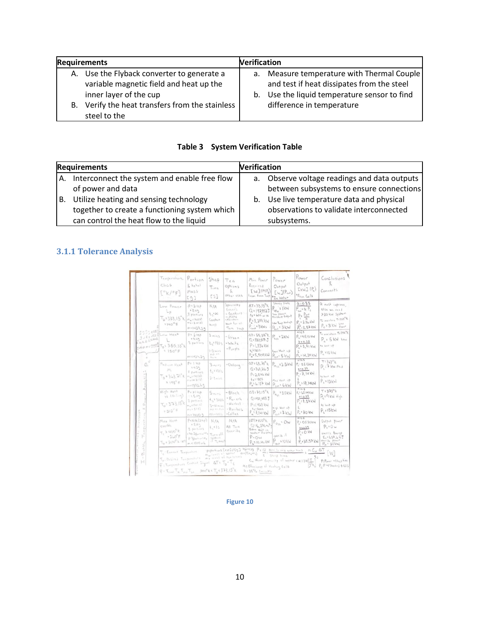| <b>Requirements</b> |                                                                                           |  | <b>Verification</b>                                                                      |  |  |  |
|---------------------|-------------------------------------------------------------------------------------------|--|------------------------------------------------------------------------------------------|--|--|--|
|                     | A. Use the Flyback converter to generate a<br>variable magnetic field and heat up the     |  | a. Measure temperature with Thermal Couple<br>and test if heat dissipates from the steel |  |  |  |
|                     | inner layer of the cup<br>B. Verify the heat transfers from the stainless<br>steel to the |  | b. Use the liquid temperature sensor to find<br>difference in temperature                |  |  |  |

|  |  | <b>Table 3 System Verification Table</b> |
|--|--|------------------------------------------|
|--|--|------------------------------------------|

|    | <b>Requirements</b>                                                                                                                | <b>Verification</b> |                                                                                                     |
|----|------------------------------------------------------------------------------------------------------------------------------------|---------------------|-----------------------------------------------------------------------------------------------------|
| А. | Interconnect the system and enable free flow<br>of power and data                                                                  |                     | a. Observe voltage readings and data outputs<br>between subsystems to ensure connections            |
| В. | Utilize heating and sensing technology<br>together to create a functioning system which<br>can control the heat flow to the liquid |                     | b. Use live temperature data and physical<br>observations to validate interconnected<br>subsystems. |

#### <span id="page-12-0"></span>**3.1.1 Tolerance Analysis**

| 12234445<br>SUEILEIBLOW HEAT<br>$E_{0} = 0.0340$<br>×<br>$\cup$<br>Δ<br>ö<br>ğ | Temperature<br>Chs5<br>[°k/°F]                                                                                                                                                                                                                                                                  | $P_{orbion}$<br>$k$ total<br>Mass<br>591                                                               | Steep<br>Time<br>[5]                                                          | Tea<br>Options<br>L.<br>other USES                                                    | Min Power<br>Required<br>[W](PIP)<br>Tron Room Teap   <b>*</b> In Water                                                              | Power<br>Output<br>$\lceil w \rceil(P_{out})$                                                                           | Power<br>Output<br>$L_{kW} \rbrack$ (P)<br><sup>4</sup> From Co.1s                                                                                              | Conclusions<br>Comments                                                                                        |
|--------------------------------------------------------------------------------|-------------------------------------------------------------------------------------------------------------------------------------------------------------------------------------------------------------------------------------------------------------------------------------------------|--------------------------------------------------------------------------------------------------------|-------------------------------------------------------------------------------|---------------------------------------------------------------------------------------|--------------------------------------------------------------------------------------------------------------------------------------|-------------------------------------------------------------------------------------------------------------------------|-----------------------------------------------------------------------------------------------------------------------------------------------------------------|----------------------------------------------------------------------------------------------------------------|
|                                                                                | Low Power<br>$L_{p}$<br>$T_0 = 333.15$ K<br>$7°0\mu$                                                                                                                                                                                                                                            | $P = 3 + 5P$<br>$-249$<br>S portions<br>$m_{\nu}$ = 130(s)<br>$m_1$ ; $\S$ , $u$ (8)<br>$m = 1427, 39$ | N/A<br>1.80<br>Constant<br><b>FLASS</b>                                       | Specialty<br>torian's<br>$-$ Gypkuro<br>$-Mate$<br>Mainten<br>Heat for all<br>Too 2HD | $\Delta T = 33.15^{\circ}$ k<br>$Q = 197952J$<br>$t_5 = 605$ or 00<br>$P = 3,399$ kW<br>$P_{\text{cent}}$ = $3 \text{ kWs}$          | Stanly State<br>$P_{Lp_{11}} = 1 \text{ kW}$<br>Low point."<br>Constant Output<br>Low Tamp Heating<br>$P_{out}$ : $3kW$ | 0.10.35<br>$P_{\text{max}}$ = $\alpha$ $P_{\text{c}}$<br>$P_c \frac{P_{\text{mid}}}{\sqrt{P_{\text{mid}}}}$<br>$P. = 3.86$ kW<br>$\bar{\rho}_c^{rd}$ : 8, 57 kW | Or must improve,<br>else we need<br>> 20 kw system<br>To maintain T1333"K<br>$P_c$ : $3$ kW $_{p_{max}}^{Lou}$ |
|                                                                                | $0.000 + 0.2588$<br>$T_0$ = 355.35°K<br>5180°F                                                                                                                                                                                                                                                  | $P = 2 + 5P$<br>13.49<br>& particula<br>$m = 1433.39$                                                  | 3 mins<br>$t = 1805$<br>$1 - 3$ mint<br>$A \in \mathcal{O}$ , U.O.<br>$k = n$ | $-6$<br>$-White$<br>$-Purple$                                                         | $47.55.36$ K<br>Q:330,517 J<br>$P = 1.836$ kW<br>20817,7<br>P .: 5,509 KW                                                            | $F_{L_{13}}$ = 2KW<br>Low Heat up<br>$P_{out}$ : 5 kW                                                                   | 0.505<br>$P_{c}$ : 48.10 kW<br>0.10.35<br>$P_c$ : 5, 71 kW<br>x<br>P. : 14.29 KW<br>0.20.5                                                                      | To maintain To 356 <sup>0</sup> K<br>$P_{c}$ = $5$ kW $tan$<br>fu test of<br>$P_{e}$ = 10 kW                   |
|                                                                                | Medium Heat<br>$T_{0} = 363.71^{\circ}$ K<br>5195°5                                                                                                                                                                                                                                             | $P = 1 + 5P$<br>24.33<br>8 partian's<br>$m_{11}$ 190(2)<br>(212.144)<br>$m+1393.69$                    | 30005<br>$t = 1805$<br>$2 - 3$ mins                                           | -Oolong                                                                               | $47 = 63.71$ k<br>$Q = 368, 316$ J<br>$P: 2.046$ KW<br>$t_5:1805$<br>$P_3:6.137$ KW                                                  | $P_{m_{13}} = 3.5 \text{ kW}$<br>Me i that up<br>$P_{out}$ $6 \, \text{kW}$                                             | $P_c: B R I 3 kW$<br>41036<br>P:7.14kV<br>$P: 17.14k$ W                                                                                                         | $T:3L3^o k$<br>P. : 7 kw Ned<br>to have up<br>$P_c = 12kW$                                                     |
|                                                                                | High Heat<br>$H = \{50, 100\}$<br>$T_{D}$ : 373.15 <sup>°</sup> k<br>$\pi\otimes\mathfrak{l}\otimes^{\mathcal{O}}\mathsf{F}$                                                                                                                                                                    | $P = 31 +50$<br>$-5.5.09$<br>3 portient<br>$m_{12}$ +13 (i)<br>$f312 + 4m$<br>0.51400.9                | 5 <sub>max</sub><br>4.33005<br>$3 - 10$ mint<br>$k=11.74$<br>次のヒーもの日5         | - Block<br>$-P_{u-}$ erh<br>$-He-ba1$<br>$-Rosubus$<br>. Coilez                       | $\Delta T: 73.15^{\circ}$ K<br>$Q = 438, 483, 5$<br>P:1438kW<br>$t_1:3005$<br>$P_{\alpha}$ = 7.141 KW                                | $P_{H_{13}}$ = 3.0 kW<br>High Heat up<br>$P_{\text{out}}$ = 7 kW                                                        | 0.10.5<br>$P_2$ : $1.5$ IHKW<br>x 10.55<br>P, 53.57kW<br>$P_c$ : 20 KW                                                                                          | $T:373^o k$<br>P. : 9 kW High<br>to bant up<br>$P_{1}15kW$                                                     |
|                                                                                | Max Heat<br>overele<br>$\tau_t$ > $\mu_0$ o <sup>o</sup> k<br>$-160^{\circ}F$<br>$T_0 = 300^{\circ}$ k (er)                                                                                                                                                                                     | P5N/R(315P)<br>$+2.49$<br>3 pachines<br>$170.2/100^{10}$<br>$P^3/m+n^{1.05}$<br>m < 1500 mL            | N/A<br>$E_{x}$ <15<br>Turnsil<br>System<br>$f = 1$                            | N/A<br>All Tech<br>Queride                                                            | $14712100^0k$<br>$Q: \mathcal{C}_2, 376.40^9 +$<br>Eatra Heat in<br>water Disipitis<br>P:OW<br>$P_0 = 10.46$ kW                      | $P_{0_M}$ = Ow<br>givide it<br>$P_{\text{out}}$ = 10 kW                                                                 | 0.10.5<br>$P: O530$ kw<br>0.5032<br>P: O KN<br>$P.738.57$ kW                                                                                                    | Output power<br>$P_{e}$ = 0 $w$<br>excess Energy<br>$E_{c1}627,615$<br>Orerido pomer<br>Po <sup>s</sup> 30kW   |
| of His<br>co<br>×<br>$\mathbf{H}$                                              | T. Curriet Temperature<br>To Desired Temperature my nuss of the leases<br>$\widetilde{\tau}$ : Temperature Control Signal $\Delta T$ : $T_0$ - $T_0$<br>$\bar{\tau}$ = $\tau_{\text{cool}}$ $\tau_{\text{sc}}$ $\tau_{\text{out}}$ $\tau_{\text{tot}}$ = 300° k s $\tau_{\text{a}}$ < 373,15° k |                                                                                                        | What I men's a mind a settlement                                              | p:portions [tsp]/[g]                                                                  | Haptillag P & Q Heat to relate water tempo<br>$m = P(m_{m} + m_{n})$<br>¥<br>of : Effectioney of Heating Coils<br>$9.25\%$ Currently | Storp front<br>Cuittent Copperty of workersult sull                                                                     | $m Cw \Delta T$                                                                                                                                                 | W)<br>P:Power -Ishephone<br>P. P W/ Shoolard told/5                                                            |

**Figure 10**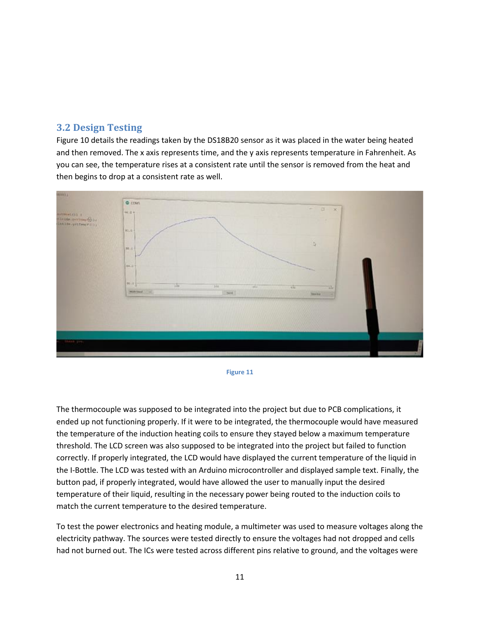#### <span id="page-13-0"></span>**3.2 Design Testing**

Figure 10 details the readings taken by the DS18B20 sensor as it was placed in the water being heated and then removed. The x axis represents time, and the y axis represents temperature in Fahrenheit. As you can see, the temperature rises at a consistent rate until the sensor is removed from the heat and then begins to drop at a consistent rate as well.



**Figure 11**

The thermocouple was supposed to be integrated into the project but due to PCB complications, it ended up not functioning properly. If it were to be integrated, the thermocouple would have measured the temperature of the induction heating coils to ensure they stayed below a maximum temperature threshold. The LCD screen was also supposed to be integrated into the project but failed to function correctly. If properly integrated, the LCD would have displayed the current temperature of the liquid in the I-Bottle. The LCD was tested with an Arduino microcontroller and displayed sample text. Finally, the button pad, if properly integrated, would have allowed the user to manually input the desired temperature of their liquid, resulting in the necessary power being routed to the induction coils to match the current temperature to the desired temperature.

To test the power electronics and heating module, a multimeter was used to measure voltages along the electricity pathway. The sources were tested directly to ensure the voltages had not dropped and cells had not burned out. The ICs were tested across different pins relative to ground, and the voltages were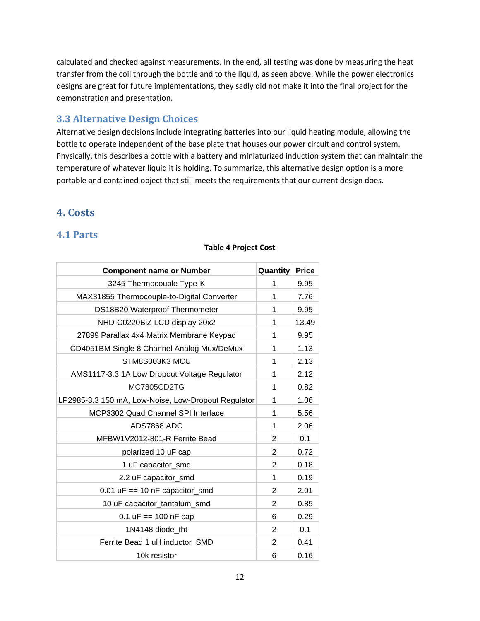calculated and checked against measurements. In the end, all testing was done by measuring the heat transfer from the coil through the bottle and to the liquid, as seen above. While the power electronics designs are great for future implementations, they sadly did not make it into the final project for the demonstration and presentation.

#### <span id="page-14-0"></span>**3.3 Alternative Design Choices**

Alternative design decisions include integrating batteries into our liquid heating module, allowing the bottle to operate independent of the base plate that houses our power circuit and control system. Physically, this describes a bottle with a battery and miniaturized induction system that can maintain the temperature of whatever liquid it is holding. To summarize, this alternative design option is a more portable and contained object that still meets the requirements that our current design does.

## <span id="page-14-1"></span>**4. Costs**

#### <span id="page-14-2"></span>**4.1 Parts**

| <b>Component name or Number</b>                     | Quantity       | <b>Price</b> |
|-----------------------------------------------------|----------------|--------------|
| 3245 Thermocouple Type-K                            | 1              | 9.95         |
| MAX31855 Thermocouple-to-Digital Converter          | 1              | 7.76         |
| DS18B20 Waterproof Thermometer                      | 1              | 9.95         |
| NHD-C0220BiZ LCD display 20x2                       | 1              | 13.49        |
| 27899 Parallax 4x4 Matrix Membrane Keypad           | 1              | 9.95         |
| CD4051BM Single 8 Channel Analog Mux/DeMux          | 1              | 1.13         |
| STM8S003K3 MCU                                      | 1              | 2.13         |
| AMS1117-3.3 1A Low Dropout Voltage Regulator        | 1              | 2.12         |
| MC7805CD2TG                                         | 1              | 0.82         |
| LP2985-3.3 150 mA, Low-Noise, Low-Dropout Regulator | 1              | 1.06         |
| MCP3302 Quad Channel SPI Interface                  | 1              | 5.56         |
| ADS7868 ADC                                         | 1              | 2.06         |
| MFBW1V2012-801-R Ferrite Bead                       | $\overline{2}$ | 0.1          |
| polarized 10 uF cap                                 | $\overline{2}$ | 0.72         |
| 1 uF capacitor_smd                                  | $\overline{2}$ | 0.18         |
| 2.2 uF capacitor_smd                                | 1              | 0.19         |
| $0.01$ uF == 10 nF capacitor_smd                    | $\overline{2}$ | 2.01         |
| 10 uF capacitor_tantalum_smd                        | $\overline{2}$ | 0.85         |
| 0.1 $uF == 100$ nF cap                              | 6              | 0.29         |
| 1N4148 diode tht                                    | 2              | 0.1          |
| Ferrite Bead 1 uH inductor SMD                      | $\overline{2}$ | 0.41         |
| 10k resistor                                        | 6              | 0.16         |

#### **Table 4 Project Cost**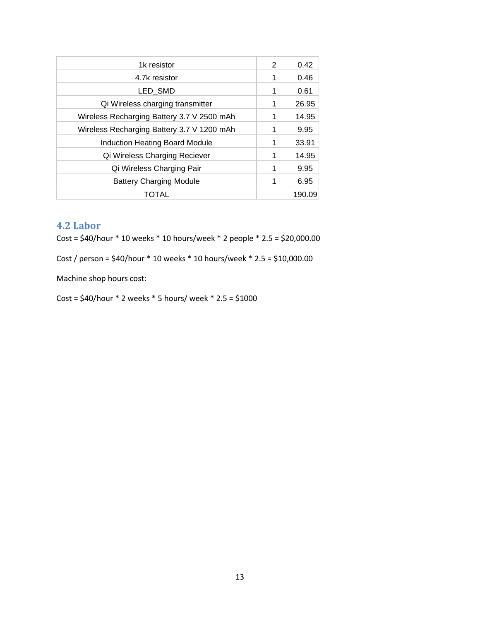| 1k resistor                                | 2 | 0.42   |
|--------------------------------------------|---|--------|
| 4.7k resistor                              | 1 | 0.46   |
| LED_SMD                                    | 1 | 0.61   |
| Qi Wireless charging transmitter           | 1 | 26.95  |
| Wireless Recharging Battery 3.7 V 2500 mAh | 1 | 14.95  |
| Wireless Recharging Battery 3.7 V 1200 mAh | 1 | 9.95   |
| <b>Induction Heating Board Module</b>      | 1 | 33.91  |
| Qi Wireless Charging Reciever              | 1 | 14.95  |
| Qi Wireless Charging Pair                  | 1 | 9.95   |
| <b>Battery Charging Module</b>             | 1 | 6.95   |
| TOTAL                                      |   | 190.09 |
|                                            |   |        |

## <span id="page-15-0"></span>**4.2 Labor**

Cost = \$40/hour \* 10 weeks \* 10 hours/week \* 2 people \* 2.5 = \$20,000.00

Cost / person = \$40/hour \* 10 weeks \* 10 hours/week \* 2.5 = \$10,000.00

Machine shop hours cost:

 $Cost = $40/h$ our  $*$  2 weeks  $*$  5 hours/ week  $*$  2.5 = \$1000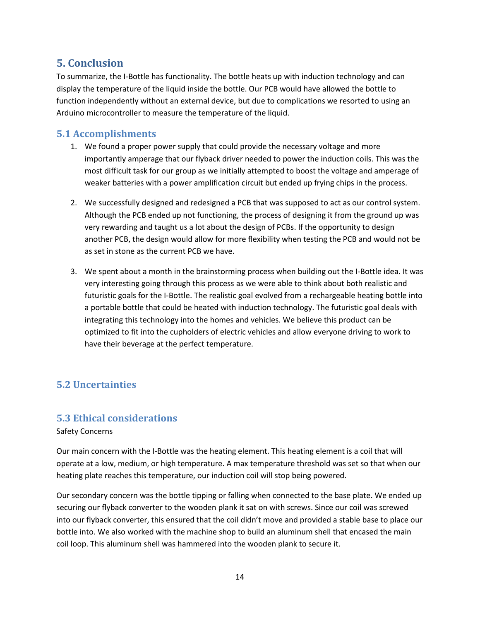## <span id="page-16-0"></span>**5. Conclusion**

To summarize, the I-Bottle has functionality. The bottle heats up with induction technology and can display the temperature of the liquid inside the bottle. Our PCB would have allowed the bottle to function independently without an external device, but due to complications we resorted to using an Arduino microcontroller to measure the temperature of the liquid.

#### <span id="page-16-1"></span>**5.1 Accomplishments**

- 1. We found a proper power supply that could provide the necessary voltage and more importantly amperage that our flyback driver needed to power the induction coils. This was the most difficult task for our group as we initially attempted to boost the voltage and amperage of weaker batteries with a power amplification circuit but ended up frying chips in the process.
- 2. We successfully designed and redesigned a PCB that was supposed to act as our control system. Although the PCB ended up not functioning, the process of designing it from the ground up was very rewarding and taught us a lot about the design of PCBs. If the opportunity to design another PCB, the design would allow for more flexibility when testing the PCB and would not be as set in stone as the current PCB we have.
- 3. We spent about a month in the brainstorming process when building out the I-Bottle idea. It was very interesting going through this process as we were able to think about both realistic and futuristic goals for the I-Bottle. The realistic goal evolved from a rechargeable heating bottle into a portable bottle that could be heated with induction technology. The futuristic goal deals with integrating this technology into the homes and vehicles. We believe this product can be optimized to fit into the cupholders of electric vehicles and allow everyone driving to work to have their beverage at the perfect temperature.

#### <span id="page-16-2"></span>**5.2 Uncertainties**

#### <span id="page-16-3"></span>**5.3 Ethical considerations**

#### Safety Concerns

Our main concern with the I-Bottle was the heating element. This heating element is a coil that will operate at a low, medium, or high temperature. A max temperature threshold was set so that when our heating plate reaches this temperature, our induction coil will stop being powered.

Our secondary concern was the bottle tipping or falling when connected to the base plate. We ended up securing our flyback converter to the wooden plank it sat on with screws. Since our coil was screwed into our flyback converter, this ensured that the coil didn't move and provided a stable base to place our bottle into. We also worked with the machine shop to build an aluminum shell that encased the main coil loop. This aluminum shell was hammered into the wooden plank to secure it.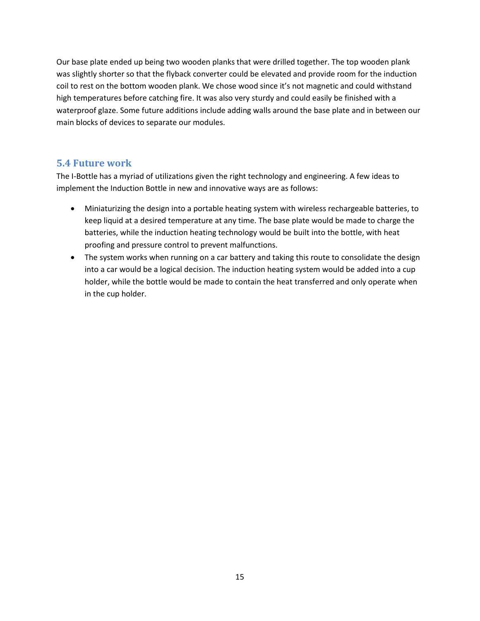Our base plate ended up being two wooden planks that were drilled together. The top wooden plank was slightly shorter so that the flyback converter could be elevated and provide room for the induction coil to rest on the bottom wooden plank. We chose wood since it's not magnetic and could withstand high temperatures before catching fire. It was also very sturdy and could easily be finished with a waterproof glaze. Some future additions include adding walls around the base plate and in between our main blocks of devices to separate our modules.

#### <span id="page-17-0"></span>**5.4 Future work**

The I-Bottle has a myriad of utilizations given the right technology and engineering. A few ideas to implement the Induction Bottle in new and innovative ways are as follows:

- Miniaturizing the design into a portable heating system with wireless rechargeable batteries, to keep liquid at a desired temperature at any time. The base plate would be made to charge the batteries, while the induction heating technology would be built into the bottle, with heat proofing and pressure control to prevent malfunctions.
- The system works when running on a car battery and taking this route to consolidate the design into a car would be a logical decision. The induction heating system would be added into a cup holder, while the bottle would be made to contain the heat transferred and only operate when in the cup holder.